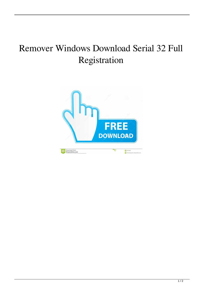## Remover Windows Download Serial 32 Full Registration